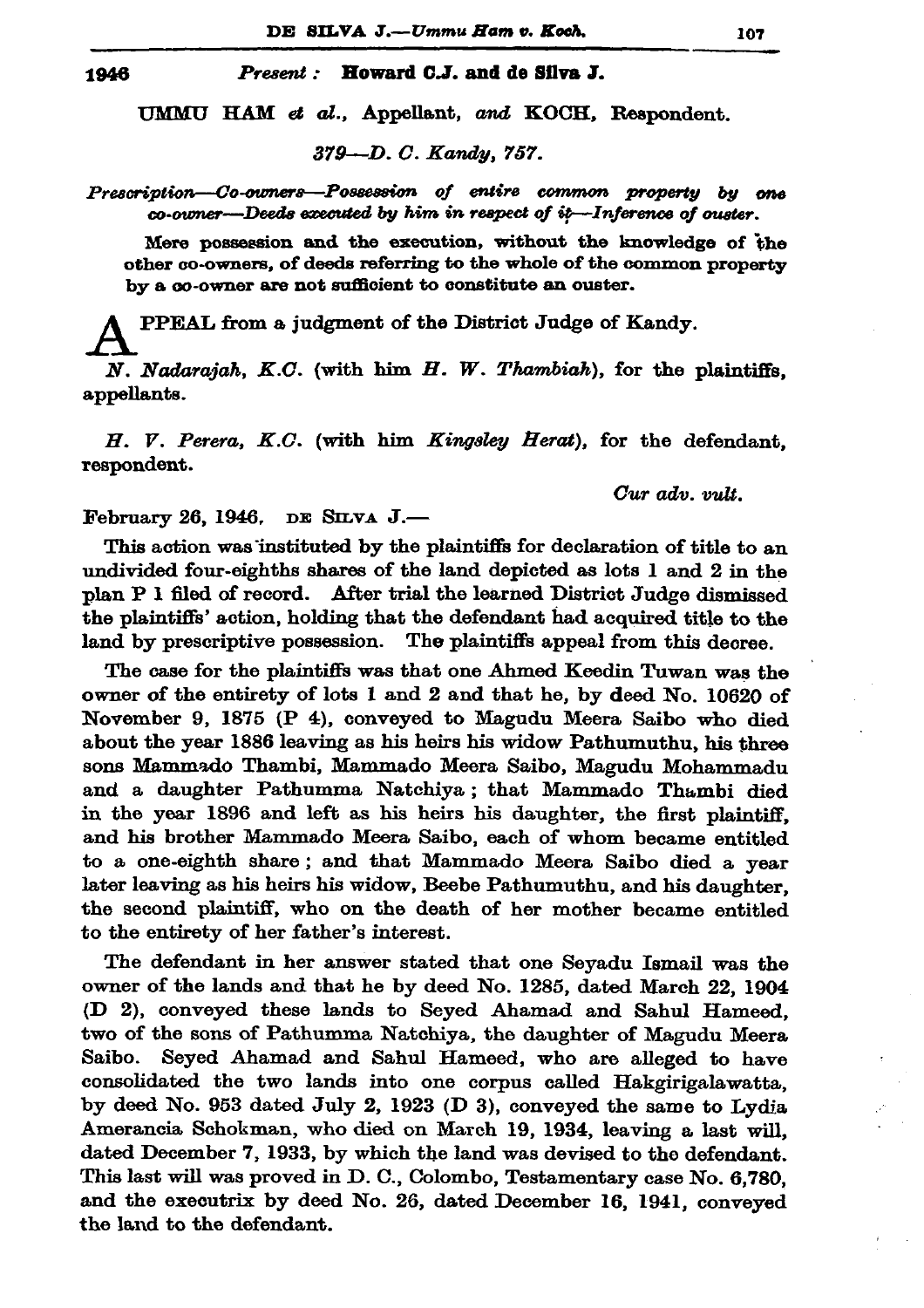1946

## Present: Howard C.J. and de Silva J.

UMMU HAM et al., Appellant, and KOCH, Respondent.

379-D. C. Kandy. 757.

Prescription—Co-owners—Possession of entire common property by one co-owner---Deeds executed by him in respect of it--Inference of ouster.

Mere possession and the execution, without the knowledge of the other co-owners, of deeds referring to the whole of the common property by a co-owner are not sufficient to constitute an ouster.

PPEAL from a judgment of the District Judge of Kandy.

N. Nadarajah, K.C. (with him H. W. Thambiah), for the plaintiffs, appellants.

H. V. Perera, K.C. (with him Kingsley Herat), for the defendant, respondent.

Cur adv. vult.

February 26, 1946. DE SILVA J.-

This action was instituted by the plaintiffs for declaration of title to an undivided four-eighths shares of the land depicted as lots 1 and 2 in the plan P I filed of record. After trial the learned District Judge dismissed the plaintiffs' action, holding that the defendant had acquired title to the land by prescriptive possession. The plaintiffs appeal from this decree.

The case for the plaintiffs was that one Ahmed Keedin Tuwan was the owner of the entirety of lots 1 and 2 and that he, by deed No. 10620 of November 9, 1875 (P 4), conveyed to Magudu Meera Saibo who died about the year 1886 leaving as his heirs his widow Pathumuthu, his three sons Mammado Thambi, Mammado Meera Saibo, Magudu Mohammadu and a daughter Pathumma Natchiya; that Mammado Thambi died in the year 1896 and left as his heirs his daughter, the first plaintiff, and his brother Mammado Meera Saibo, each of whom became entitled to a one-eighth share; and that Mammado Meera Saibo died a year later leaving as his heirs his widow, Beebe Pathumuthu, and his daughter, the second plaintiff, who on the death of her mother became entitled to the entirety of her father's interest.

The defendant in her answer stated that one Seyadu Ismail was the owner of the lands and that he by deed No. 1285, dated March 22, 1904 (D 2), conveyed these lands to Seyed Ahamad and Sahul Hameed, two of the sons of Pathumma Natchiya, the daughter of Magudu Meera Seyed Ahamad and Sahul Hameed, who are alleged to have Saibo. consolidated the two lands into one corpus called Hakgirigalawatta, by deed No. 953 dated July 2, 1923 (D 3), conveyed the same to Lydia Amerancia Schokman, who died on March 19, 1934, leaving a last will, dated December 7, 1933, by which the land was devised to the defendant. This last will was proved in D. C., Colombo, Testamentary case No. 6,780, and the executrix by deed No. 26, dated December 16, 1941, conveyed the land to the defendant.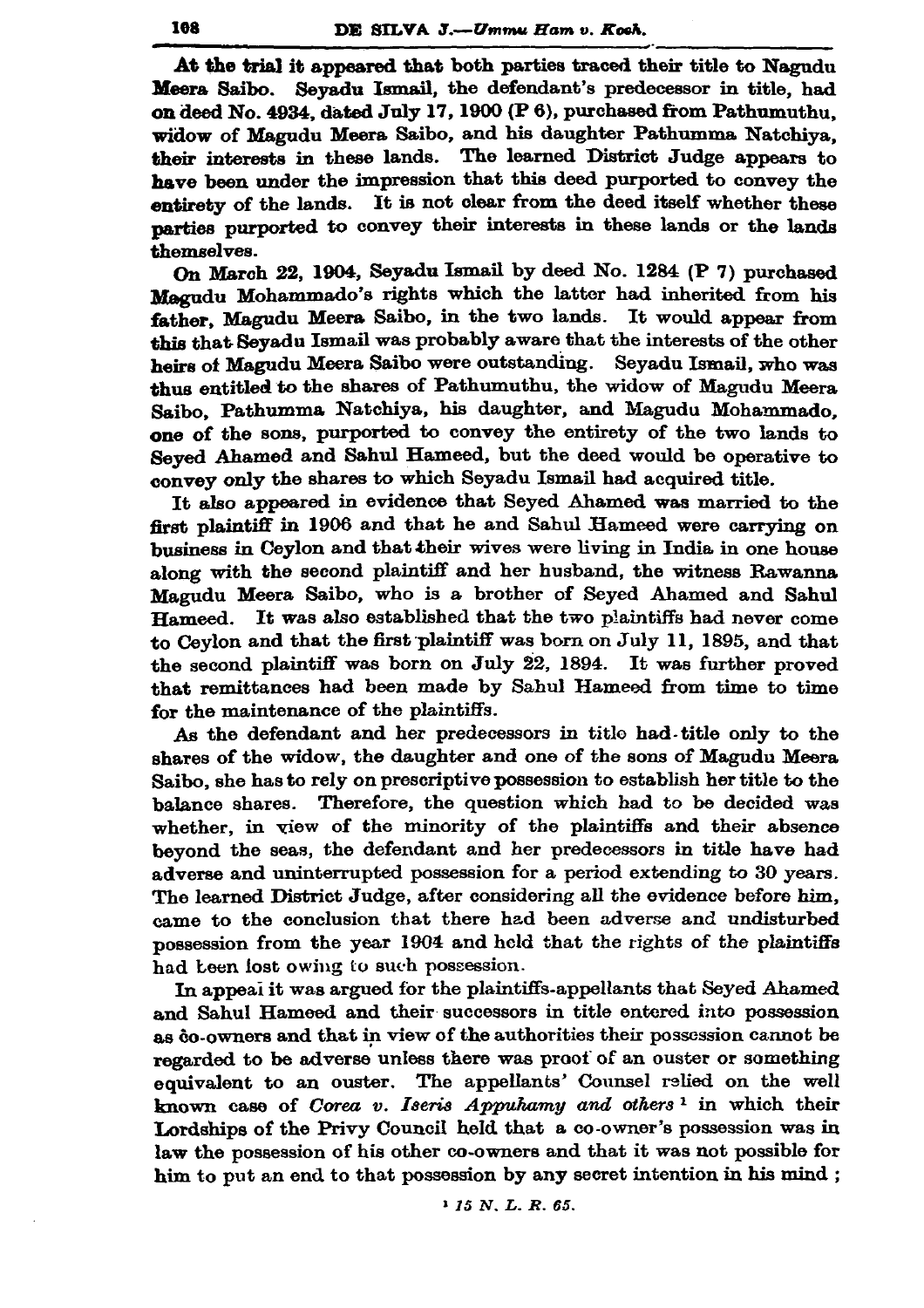At the trial it appeared that both parties traced their title to Nagudu Meera Saibo. Sevadu Ismail, the defendant's predecessor in title, had on deed No. 4934, dated July 17, 1900 (P 6), purchased from Pathumuthu. widow of Magudu Meera Saibo, and his daughter Pathumma Natchiva. their interests in these lands. The learned District Judge appears to have been under the impression that this deed purported to convey the entirety of the lands. It is not clear from the deed itself whether these parties purported to convey their interests in these lands or the lands themselves.

On March 22, 1904, Seyadu Ismail by deed No. 1284 (P 7) purchased Magudu Mohammado's rights which the latter had inherited from his father. Magudu Meera Saibo, in the two lands. It would appear from this that Seyadu Ismail was probably aware that the interests of the other heirs of Magudu Meera Saibo were outstanding. Seyadu Ismail, who was thus entitled to the shares of Pathumuthu, the widow of Magudu Meera Saibo, Pathumma Natchiya, his daughter, and Magudu Mohammado. one of the sons, purported to convey the entirety of the two lands to Seved Ahamed and Sahul Hameed, but the deed would be operative to convey only the shares to which Seyadu Ismail had acquired title.

It also appeared in evidence that Seyed Ahamed was married to the first plaintiff in 1906 and that he and Sahul Hameed were carrying on business in Ceylon and that their wives were living in India in one house along with the second plaintiff and her husband, the witness Rawanna Magudu Meera Saibo, who is a brother of Seyed Ahamed and Sahul It was also established that the two plaintiffs had never come Hameed. to Cevlon and that the first plaintiff was born on July 11, 1895, and that the second plaintiff was born on July 22, 1894. It was further proved that remittances had been made by Sahul Hameed from time to time for the maintenance of the plaintiffs.

As the defendant and her predecessors in title had title only to the shares of the widow, the daughter and one of the sons of Magudu Meera Saibo, she has to rely on prescriptive possession to establish her title to the balance shares. Therefore, the question which had to be decided was whether, in view of the minority of the plaintiffs and their absence beyond the seas, the defendant and her predecessors in title have had adverse and uninterrupted possession for a period extending to 30 years. The learned District Judge, after considering all the evidence before him, came to the conclusion that there had been adverse and undisturbed possession from the year 1904 and held that the rights of the plaintiffs had been lost owing to such possession.

In appeal it was argued for the plaintiffs-appellants that Seyed Ahamed and Sahul Hameed and their successors in title entered into possession as ĝo-owners and that in view of the authorities their possession cannot be regarded to be adverse unless there was proof of an ouster or something equivalent to an ouster. The appellants' Counsel relied on the well known case of Corea v. Iseris Appuhamy and others<sup>1</sup> in which their Lordships of the Privy Council held that a co-owner's possession was in law the possession of his other co-owners and that it was not possible for him to put an end to that possession by any secret intention in his mind;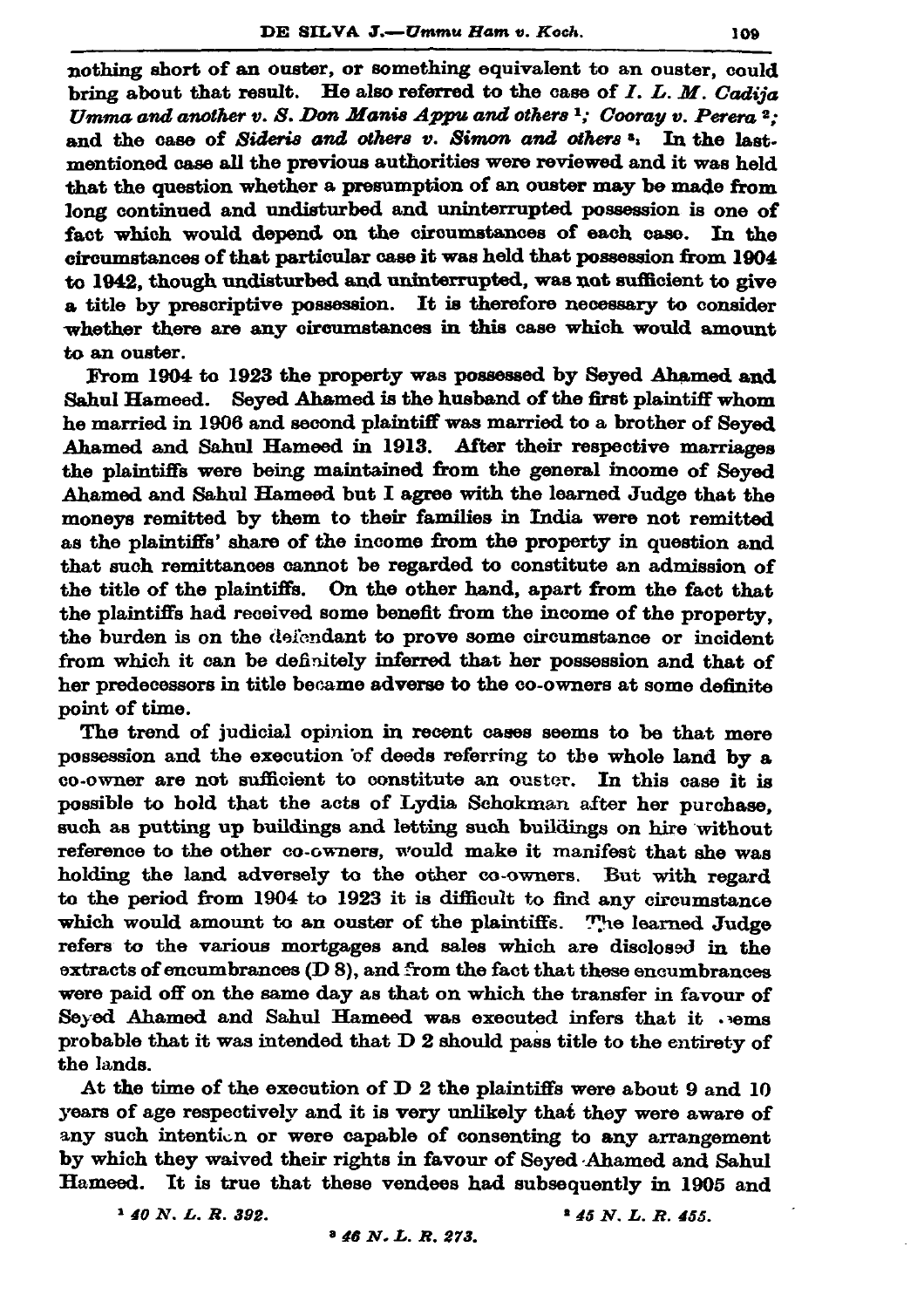nothing short of an ouster, or something equivalent to an ouster, could bring about that result. He also referred to the case of  $I. L. M.$  Cadija Umma and another  $v.$  S. Don Manis Appu and others  $\frac{1}{2}$ ; Cooray  $v.$  Perera  $\frac{2}{2}$ . and the case of Sideris and others v. Simon and others<sup>3</sup>. In the last. mentioned case all the previous authorities were reviewed and it was held that the question whether a presumption of an ouster may be made from long continued and undisturbed and uninterrupted possession is one of fact which would depend on the circumstances of each case. In the circumstances of that particular case it was held that possession from 1904 to 1942, though undisturbed and uninterrupted, was not sufficient to give a title by prescriptive possession. It is therefore necessary to consider whether there are any circumstances in this case which would amount to an ouster.

From 1904 to 1923 the property was possessed by Seved Ahamed and Sahul Hameed. Seved Ahamed is the husband of the first plaintiff whom he married in 1906 and second plaintiff was married to a brother of Seved Ahamed and Sahul Hameed in 1913. After their respective marriages the plaintiffs were being maintained from the general income of Seved Ahamed and Sahul Hameed but I agree with the learned Judge that the moneys remitted by them to their families in India were not remitted as the plaintiffs' share of the income from the property in question and that such remittances cannot be regarded to constitute an admission of the title of the plaintiffs. On the other hand, apart from the fact that the plaintiffs had received some benefit from the income of the property. the burden is on the defendant to prove some circumstance or incident from which it can be definitely inferred that her possession and that of her predecessors in title became adverse to the co-owners at some definite point of time.

The trend of judicial opinion in recent cases seems to be that mere possession and the execution of deeds referring to the whole land by a co-owner are not sufficient to constitute an ouster. In this case it is possible to hold that the acts of Lydia Schokman after her purchase. such as putting up buildings and letting such buildings on hire without reference to the other co-owners, would make it manifest that she was holding the land adversely to the other co-owners. But with regard to the period from 1904 to 1923 it is difficult to find any circumstance which would amount to an ouster of the plaintiffs. The learned Judge refers to the various mortgages and sales which are disclosed in the extracts of encumbrances (D 8), and from the fact that these encumbrances were paid off on the same day as that on which the transfer in favour of Seyed Ahamed and Sahul Hameed was executed infers that it .vems probable that it was intended that D 2 should pass title to the entirety of the lands.

At the time of the execution of D 2 the plaintiffs were about 9 and 10 years of age respectively and it is very unlikely that they were aware of any such intention or were capable of consenting to any arrangement by which they waived their rights in favour of Seved Ahamed and Sahul Hameed. It is true that these vendees had subsequently in 1905 and

 $140 N. L. R. 392.$ 

 $145 N. L. R. 455.$ 

 $346 N. L. R. 273.$